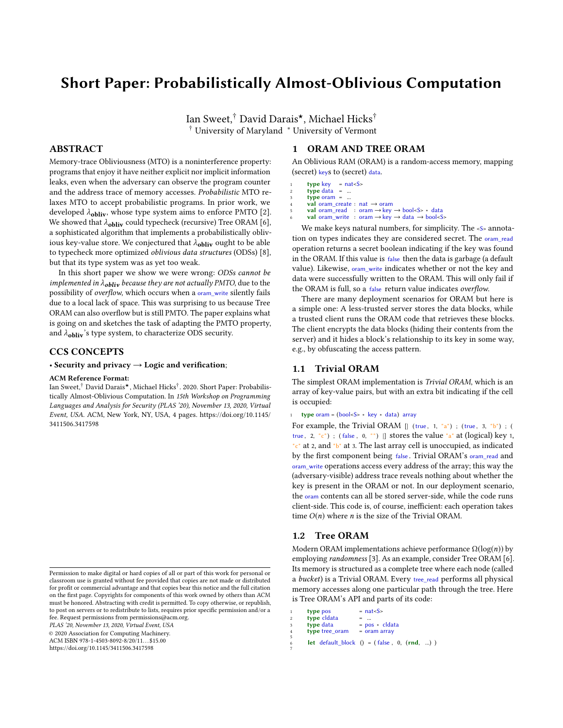# Short Paper: Probabilistically Almost-Oblivious Computation

Ian Sweet,<sup>†</sup> David Darais<sup>\*</sup>, Michael Hicks<sup>†</sup> † University of Maryland <sup>∗</sup> University of Vermont

### ABSTRACT

Memory-trace Obliviousness (MTO) is a noninterference property: programs that enjoy it have neither explicit nor implicit information leaks, even when the adversary can observe the program counter and the address trace of memory accesses. Probabilistic MTO relaxes MTO to accept probabilistic programs. In prior work, we developed  $\lambda_{\text{obliv}}$ , whose type system aims to enforce PMTO [\[2\]](#page-3-0). We showed that  $\lambda_{\text{obliv}}$  could typecheck (recursive) Tree ORAM [\[6\]](#page-3-1), a sophisticated algorithm that implements a probabilistically oblivious key-value store. We conjectured that  $\lambda_{\text{obliv}}$  ought to be able to typecheck more optimized oblivious data structures (ODSs) [\[8\]](#page-3-2), but that its type system was as yet too weak.

In this short paper we show we were wrong: ODSs cannot be implemented in  $\lambda_{\text{obliv}}$  because they are not actually PMTO, due to the possibility of overflow, which occurs when a oram\_write silently fails due to a local lack of space. This was surprising to us because Tree ORAM can also overflow but is still PMTO. The paper explains what is going on and sketches the task of adapting the PMTO property, and  $\lambda_{\text{obliv}}$ 's type system, to characterize ODS security.

#### CCS CONCEPTS

#### • Security and privacy  $\rightarrow$  Logic and verification;

#### ACM Reference Format:

Ian Sweet, $^\dagger$  David Darais $^\star$ , Michael Hicks $^\dagger$ . 2020. Short Paper: Probabilistically Almost-Oblivious Computation. In 15th Workshop on Programming Languages and Analysis for Security (PLAS '20), November 13, 2020, Virtual Event, USA. ACM, New York, NY, USA, [4](#page-3-3) pages. [https://doi.org/10.1145/](https://doi.org/10.1145/3411506.3417598) [3411506.3417598](https://doi.org/10.1145/3411506.3417598)

PLAS '20, November 13, 2020, Virtual Event, USA

© 2020 Association for Computing Machinery.

ACM ISBN 978-1-4503-8092-8/20/11. . . \$15.00 <https://doi.org/10.1145/3411506.3417598>

#### 1 ORAM AND TREE ORAM

An Oblivious RAM (ORAM) is a random-access memory, mapping (secret) keys to (secret) data.

- $type key = nat < S$
- $type data = ...$  $type \space \text{or} \space \text{a}$  = ...
- val oram\_create : nat  $\rightarrow$  oram
- <sup>5</sup> val oram\_read : oram →key → bool<S> ∗ data
- val oram\_write : oram  $\rightarrow$  key  $\rightarrow$  data  $\rightarrow$  bool<S>

We make keys natural numbers, for simplicity. The <s> annotation on types indicates they are considered secret. The oram\_read operation returns a secret boolean indicating if the key was found in the ORAM. If this value is false then the data is garbage (a default value). Likewise, oram\_write indicates whether or not the key and data were successfully written to the ORAM. This will only fail if the ORAM is full, so a false return value indicates overflow.

There are many deployment scenarios for ORAM but here is a simple one: A less-trusted server stores the data blocks, while a trusted client runs the ORAM code that retrieves these blocks. The client encrypts the data blocks (hiding their contents from the server) and it hides a block's relationship to its key in some way, e.g., by obfuscating the access pattern.

#### 1.1 Trivial ORAM

The simplest ORAM implementation is Trivial ORAM, which is an array of key-value pairs, but with an extra bit indicating if the cell is occupied:

1 type oram = (bool<S> ∗ key ∗ data) array

For example, the Trivial ORAM  $[|$  (true, 1, "a"); (true, 3, "b"); ( true, 2, "c") ; (false, 0, "") |] stores the value "a" at (logical) key 1, "c" at 2, and "b" at 3. The last array cell is unoccupied, as indicated by the first component being false . Trivial ORAM's oram\_read and oram\_write operations access every address of the array; this way the (adversary-visible) address trace reveals nothing about whether the key is present in the ORAM or not. In our deployment scenario, the oram contents can all be stored server-side, while the code runs client-side. This code is, of course, inefficient: each operation takes time  $O(n)$  where *n* is the size of the Trivial ORAM.

#### 1.2 Tree ORAM

5

7

Modern ORAM implementations achieve performance  $\Omega(\log(n))$  by employing randomness [\[3\]](#page-3-4). As an example, consider Tree ORAM [\[6\]](#page-3-1). Its memory is structured as a complete tree where each node (called a bucket) is a Trivial ORAM. Every tree\_read performs all physical memory accesses along one particular path through the tree. Here is Tree ORAM's API and parts of its code:

```
type pos = nat < S >type cldata<br>type data
                     = pos ∗ cldata<br>= oram array
type tree_oram
let default_block () = ( false, 0, (rnd, ...) )
```
Permission to make digital or hard copies of all or part of this work for personal or classroom use is granted without fee provided that copies are not made or distributed for profit or commercial advantage and that copies bear this notice and the full citation on the first page. Copyrights for components of this work owned by others than ACM must be honored. Abstracting with credit is permitted. To copy otherwise, or republish, to post on servers or to redistribute to lists, requires prior specific permission and/or a fee. Request permissions from permissions@acm.org.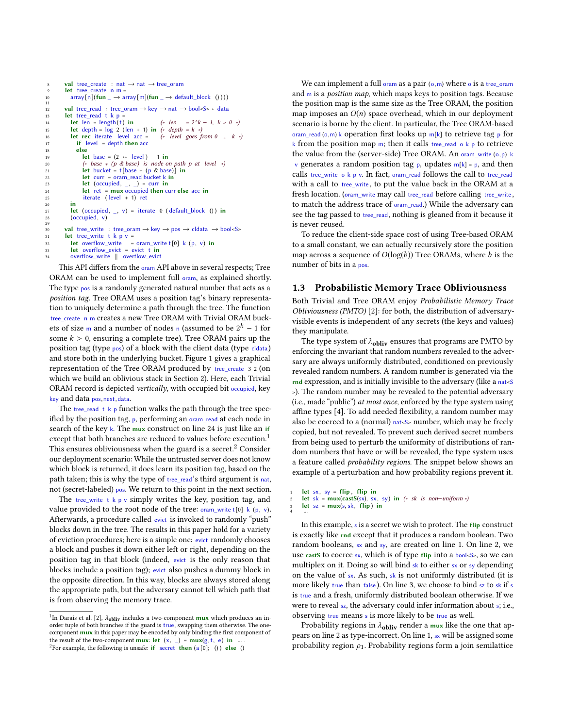```
8 val tree_create : nat \rightarrow nat \rightarrow tree_oram
         let tree create n =array[n](fun \rightarrow array[m](fun \rightarrow default_block () )))
\begin{array}{c} 10 \\ 11 \\ 12 \end{array}12 val tree_read : tree_oram \rightarrow key \rightarrow nat \rightarrow bool<S> \ast data<br>13 let tree_read t k p =
         let tree read t k p14 let len = length(t) in (* len = 2^k k - 1, k > 0 *)<br>15 let depth = log 2 (len + 1) in (* depth = k *)
16 let rec iterate level acc = (* level goes from 0 ... k *)
17 if \text{ level} = depth \text{ then } acc<br>18 else18 else<br>19 le
                let \text{ base } = (2 \cdot * \text{ level}) - 1 \text{ in}20 (* base + (p & base) is node on path p at level *)<br>21 let bucket = t[base + (p & base)] in
                 let bucket = t[base + (p & base)] in
22 let curr = oram_read bucket k in<br>
23 let (occupied, _, _) = curr in
                 let (occupied, \Box, \Box) = curr in
24 let ret = mux occupied then curr else acc in
25 iterate ( level + 1) ret
26 in
           let (occupied, \_, v) = iterate 0 ( default_block () ) in
           (occupied, v)rac{28}{29}30 val tree_write : tree_oram → key → pos → cldata → bool<S>
31 let tree_write t k p v =
32 let overflow_write = oram_write t[0] k (p, v) in
33 let overflow_evict = evict t in
           overflow_write || overflow_evict
```
This API differs from the oram API above in several respects; Tree ORAM can be used to implement full oram, as explained shortly. The type pos is a randomly generated natural number that acts as a position tag. Tree ORAM uses a position tag's binary representation to uniquely determine a path through the tree. The function tree\_create\_n m creates a new Tree ORAM with Trivial ORAM buckets of size m and a number of nodes n (assumed to be  $2^k - 1$  for some  $k > 0$ , ensuring a complete tree). Tree ORAM pairs up the position tag (type pos) of a block with the client data (type cldata) and store both in the underlying bucket. Figure [1](#page-2-0) gives a graphical representation of the Tree ORAM produced by tree\_create 3 2 (on which we build an oblivious stack in Section [2\)](#page-2-1). Here, each Trivial ORAM record is depicted vertically, with occupied bit occupied, key key and data pos,next,data.

The tree\_read t k p function walks the path through the tree specified by the position tag,  $p$ , performing an oram\_read at each node in search of the key k. The mux construct on line 24 is just like an if except that both branches are reduced to values before execution.<sup>[1](#page-1-0)</sup> This ensures obliviousness when the guard is a secret.<sup>[2](#page-1-1)</sup> Consider our deployment scenario: While the untrusted server does not know which block is returned, it does learn its position tag, based on the path taken; this is why the type of tree\_read's third argument is nat, not (secret-labeled) pos. We return to this point in the next section.

The tree\_write t  $k$  p v simply writes the key, position tag, and value provided to the root node of the tree:  $\sigma$ <sub>ram\_write</sub> t[0] k (p, v). Afterwards, a procedure called evict is invoked to randomly "push" blocks down in the tree. The results in this paper hold for a variety of eviction procedures; here is a simple one: evict randomly chooses a block and pushes it down either left or right, depending on the position tag in that block (indeed, evict is the only reason that blocks include a position tag); evict also pushes a dummy block in the opposite direction. In this way, blocks are always stored along the appropriate path, but the adversary cannot tell which path that is from observing the memory trace.

We can implement a full oram as a pair  $(o,m)$  where  $o$  is a tree\_oram and  $m$  is a *position map*, which maps keys to position tags. Because the position map is the same size as the Tree ORAM, the position map imposes an  $O(n)$  space overhead, which in our deployment scenario is borne by the client. In particular, the Tree ORAM-based oram read (o,m) k operation first looks up m[k] to retrieve tag p for k from the position map m; then it calls tree\_read  $\circ$  k p to retrieve the value from the (server-side) Tree ORAM. An oram\_write (o,p) k v generates a random position tag  $p$ , updates  $m[k] = p$ , and then calls tree\_write o k p v. In fact, oram\_read follows the call to tree\_read with a call to tree write, to put the value back in the ORAM at a fresh location. (oram\_write may call tree\_read before calling tree\_write, to match the address trace of oram read.) While the adversary can see the tag passed to tree read, nothing is gleaned from it because it is never reused.

To reduce the client-side space cost of using Tree-based ORAM to a small constant, we can actually recursively store the position map across a sequence of  $O(log(b))$  Tree ORAMs, where b is the number of bits in a pos.

#### 1.3 Probabilistic Memory Trace Obliviousness

Both Trivial and Tree ORAM enjoy Probabilistic Memory Trace Obliviousness (PMTO) [\[2\]](#page-3-0): for both, the distribution of adversaryvisible events is independent of any secrets (the keys and values) they manipulate.

The type system of  $\lambda_{\bf obliv}$  ensures that programs are PMTO by enforcing the invariant that random numbers revealed to the adversary are always uniformly distributed, conditioned on previously revealed random numbers. A random number is generated via the rnd expression, and is initially invisible to the adversary (like a nat<S >). The random number may be revealed to the potential adversary (i.e., made "public") at most once, enforced by the type system using affine types [\[4\]](#page-3-5). To add needed flexibility, a random number may also be coerced to a (normal)  $_{nat < S>}$  number, which may be freely copied, but not revealed. To prevent such derived secret numbers from being used to perturb the uniformity of distributions of random numbers that have or will be revealed, the type system uses a feature called probability regions. The snippet below shows an example of a perturbation and how probability regions prevent it.

```
1 let sx, sy = flip, flip in<br>2 let sk = mux(castS(sx)), sx,
```

```
let sk = mux(castS(sx), sx, sy) in (* sk is non-uniform *)
```

```
\frac{1}{3} let \frac{1}{3} = mux(s, sk, flip) in
4 ...
```
In this example, s is a secret we wish to protect. The flip construct is exactly like rnd except that it produces a random boolean. Two random booleans, sx and sy, are created on line 1. On line 2, we use castS to coerce sx, which is of type flip into a bool<S>, so we can multiplex on it. Doing so will bind sk to either sx or sy depending on the value of sx. As such, sk is not uniformly distributed (it is more likely true than false). On line 3, we choose to bind sz to sk if s is true and a fresh, uniformly distributed boolean otherwise. If we were to reveal sz, the adversary could infer information about s; i.e., observing true means s is more likely to be true as well.

Probability regions in  $\lambda_{\text{obliv}}$  render a mux like the one that appears on line 2 as type-incorrect. On line 1, sx will be assigned some probability region  $\rho_1$ . Probability regions form a join semilattice

<span id="page-1-1"></span><span id="page-1-0"></span><sup>&</sup>lt;sup>1</sup>In Darais et al. [\[2\]](#page-3-0),  $\lambda_{\text{obliv}}$  includes a two-component **mux** which produces an in-<br>order tuple of both branches if the guard is true, swapping them otherwise. The oneorder tuple of both branches if the guard is true, swapping them otherwise. The onecomponent mux in this paper may be encoded by only binding the first component of the result of the two-component mux: let  $(x, )$  = mux $(g, t, e)$  in <sup>2</sup>For example, the following is unsafe: if secret then  $(a [0]; 0)$  else 0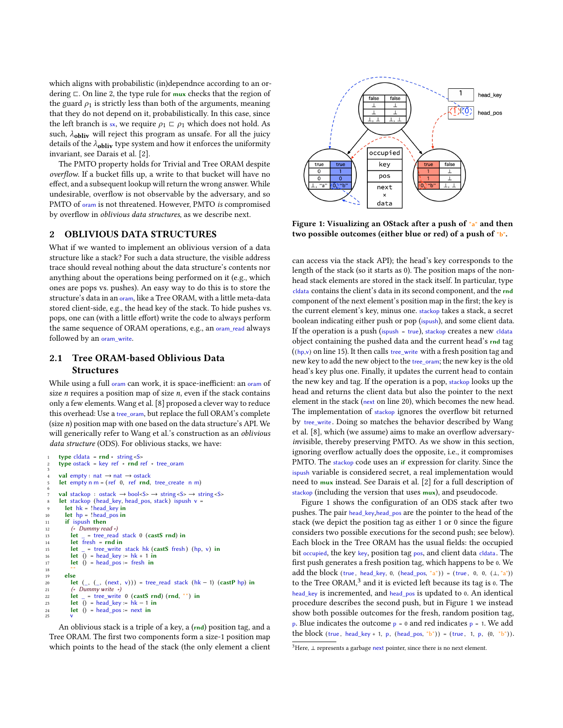which aligns with probabilistic (in)dependnce according to an ordering ⊏. On line 2, the type rule for mux checks that the region of the guard  $\rho_1$  is strictly less than both of the arguments, meaning that they do not depend on it, probabilistically. In this case, since the left branch is sx, we require  $\rho_1 \nightharpoonup \rho_1$  which does not hold. As such,  $\lambda_{\text{obliv}}$  will reject this program as unsafe. For all the juicy details of the  $\lambda_{\text{obliv}}$  type system and how it enforces the uniformity invariant, see Darais et al. [\[2\]](#page-3-0).

The PMTO property holds for Trivial and Tree ORAM despite overflow. If a bucket fills up, a write to that bucket will have no effect, and a subsequent lookup will return the wrong answer. While undesirable, overflow is not observable by the adversary, and so PMTO of oram is not threatened. However, PMTO is compromised by overflow in oblivious data structures, as we describe next.

#### <span id="page-2-1"></span>2 OBLIVIOUS DATA STRUCTURES

What if we wanted to implement an oblivious version of a data structure like a stack? For such a data structure, the visible address trace should reveal nothing about the data structure's contents nor anything about the operations being performed on it (e.g., which ones are pops vs. pushes). An easy way to do this is to store the structure's data in an oram, like a Tree ORAM, with a little meta-data stored client-side, e.g., the head key of the stack. To hide pushes vs. pops, one can (with a little effort) write the code to always perform the same sequence of ORAM operations, e.g., an oram\_read always followed by an oram write.

## 2.1 Tree ORAM-based Oblivious Data **Structures**

While using a full oram can work, it is space-inefficient: an oram of size *n* requires a position map of size *n*, even if the stack contains only a few elements. Wang et al. [\[8\]](#page-3-2) proposed a clever way to reduce this overhead: Use a tree\_oram, but replace the full ORAM's complete (size  $n$ ) position map with one based on the data structure's API. We will generically refer to [Wang et al.'](#page-3-2)s construction as an oblivious data structure (ODS). For oblivious stacks, we have:

```
type cldata = \mathbf{rnd} * \text{string} < S24 type 32 type ostack = key ref * rnd ref * tree_oram
 3
      val empty : nat \rightarrow nat \rightarrow ostack
      let empty n m = (ref 0, ref rnd, tree_c, create n m)6
      val stackop : ostack \rightarrow bool<S> \rightarrow string <S> \rightarrow string <S>
      let stackop (head_key, head_pos, stack) ispush v =let hk = !head key in
10 let hp = !head\_pos in
11 if ispush then<br>12 (* Dummy rec
12 (∗ Dummy read *)<br>13 let = tree read
           let = tree_read stack 0 (castS rnd) in
14 let fresh = rnd in
15 let _ = tree_write stack hk (castS fresh ) (hp, v) in
16 let \overline{0} = head_key := hk + 1 in
           let () = head_pos := fresh in
\frac{18}{19}19 else
20 let (\_, (\_, (next, v))) = tree\_read stack (hk - 1) (castP hp) in<br>
21 (* Dummy write *)
21 (* Dummy write *)<br>22 let = tree write
                = tree_write 0 (castS rnd) (rnd, "") in
23 let () = head_key := hk - 1 in<br>
24 let () = head pos := next in
           let () = head_pos := next in
25 v
```
An oblivious stack is a triple of a key, a (rnd) position tag, and a Tree ORAM. The first two components form a size-1 position map which points to the head of the stack (the only element a client

<span id="page-2-0"></span>

Figure 1: Visualizing an OStack after a push of "a" and then two possible outcomes (either blue or red) of a push of "b".

can access via the stack API); the head's key corresponds to the length of the stack (so it starts as 0). The position maps of the nonhead stack elements are stored in the stack itself. In particular, type cldata contains the client's data in its second component, and the rnd component of the next element's position map in the first; the key is the current element's key, minus one. stackop takes a stack, a secret boolean indicating either push or pop (ispush), and some client data. If the operation is a push (ispush = true), stackop creates a new cldata object containing the pushed data and the current head's rnd tag  $((hp,v)$  on line 15). It then calls tree\_write with a fresh position tag and new key to add the new object to the tree\_oram; the new key is the old head's key plus one. Finally, it updates the current head to contain the new key and tag. If the operation is a pop, stackop looks up the head and returns the client data but also the pointer to the next element in the stack (next on line 20), which becomes the new head. The implementation of stackop ignores the overflow bit returned by tree\_write . Doing so matches the behavior described by Wang et al. [\[8\]](#page-3-2), which (we assume) aims to make an overflow adversaryinvisible, thereby preserving PMTO. As we show in this section, ignoring overflow actually does the opposite, i.e., it compromises PMTO. The stackop code uses an if expression for clarity. Since the ispush variable is considered secret, a real implementation would need to mux instead. See Darais et al. [\[2\]](#page-3-0) for a full description of stackop (including the version that uses mux), and pseudocode.

Figure [1](#page-2-0) shows the configuration of an ODS stack after two pushes. The pair head key,head pos are the pointer to the head of the stack (we depict the position tag as either 1 or 0 since the figure considers two possible executions for the second push; see below). Each block in the Tree ORAM has the usual fields: the occupied bit occupied, the key key, position tag pos, and client data cldata. The first push generates a fresh position tag, which happens to be 0. We add the block (true, head\_key, 0, (head\_pos, "a")) = (true, 0, 0,  $(\perp, \perp, \perp, \perp)$ ) to the Tree  $ORAM<sup>3</sup>$  $ORAM<sup>3</sup>$  $ORAM<sup>3</sup>$  and it is evicted left because its tag is  $0$ . The head\_key is incremented, and head\_pos is updated to 0. An identical procedure describes the second push, but in Figure [1](#page-2-0) we instead show both possible outcomes for the fresh, random position tag, p. Blue indicates the outcome  $p = 0$  and red indicates  $p = 1$ . We add the block (true, head\_key + 1, p, (head\_pos, "b")) = (true, 1, p,  $(0, "b")$ ).

<span id="page-2-2"></span> $3$ Here,  $\perp$  represents a garbage next pointer, since there is no next element.